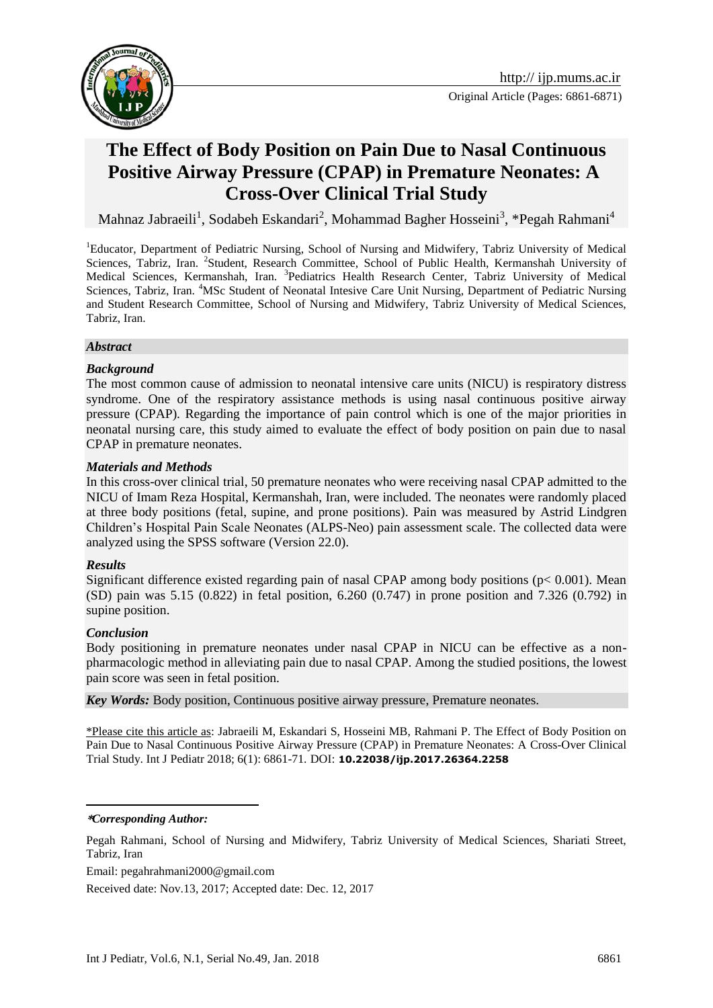

# **The Effect of Body Position on Pain Due to Nasal Continuous Positive Airway Pressure (CPAP) in Premature Neonates: A Cross-Over Clinical Trial Study**

Mahnaz Jabraeili<sup>1</sup>, Sodabeh Eskandari<sup>2</sup>, Mohammad Bagher Hosseini<sup>3</sup>, \*Pegah Rahmani<sup>4</sup>

<sup>1</sup>Educator, Department of Pediatric Nursing, School of Nursing and Midwifery, Tabriz University of Medical Sciences, Tabriz, Iran. <sup>2</sup>Student, Research Committee, School of Public Health, Kermanshah University of Medical Sciences, Kermanshah, Iran. <sup>3</sup>Pediatrics Health Research Center, Tabriz University of Medical Sciences, Tabriz, Iran. <sup>4</sup>MSc Student of Neonatal Intesive Care Unit Nursing, Department of Pediatric Nursing and Student Research Committee, School of Nursing and Midwifery, Tabriz University of Medical Sciences, Tabriz, Iran.

#### *Abstract*

#### *Background*

The most common cause of admission to neonatal intensive care units (NICU) is respiratory distress syndrome. One of the respiratory assistance methods is using nasal continuous positive airway pressure (CPAP). Regarding the importance of pain control which is one of the major priorities in neonatal nursing care, this study aimed to evaluate the effect of body position on pain due to nasal CPAP in premature neonates.

#### *Materials and Methods*

In this cross-over clinical trial, 50 premature neonates who were receiving nasal CPAP admitted to the NICU of Imam Reza Hospital, Kermanshah, Iran, were included. The neonates were randomly placed at three body positions (fetal, supine, and prone positions). Pain was measured by Astrid Lindgren Children's Hospital Pain Scale Neonates (ALPS-Neo) pain assessment scale. The collected data were analyzed using the SPSS software (Version 22.0).

#### *Results*

Significant difference existed regarding pain of nasal CPAP among body positions (p< 0.001). Mean (SD) pain was 5.15 (0.822) in fetal position, 6.260 (0.747) in prone position and 7.326 (0.792) in supine position.

#### *Conclusion*

Body positioning in premature neonates under nasal CPAP in NICU can be effective as a nonpharmacologic method in alleviating pain due to nasal CPAP. Among the studied positions, the lowest pain score was seen in fetal position.

*Key Words:* Body position, Continuous positive airway pressure, Premature neonates.

\*Please cite this article as: Jabraeili M, Eskandari S, Hosseini MB, Rahmani P. The Effect of Body Position on Pain Due to Nasal Continuous Positive Airway Pressure (CPAP) in Premature Neonates: A Cross-Over Clinical Trial Study. Int J Pediatr 2018; 6(1): 6861-71. DOI: **10.22038/ijp.2017.26364.2258**

**\****Corresponding Author:*

1

Email: pegahrahmani2000@gmail.com

Received date: Nov.13, 2017; Accepted date: Dec. 12, 2017

Pegah Rahmani, School of Nursing and Midwifery, Tabriz University of Medical Sciences, Shariati Street, Tabriz, Iran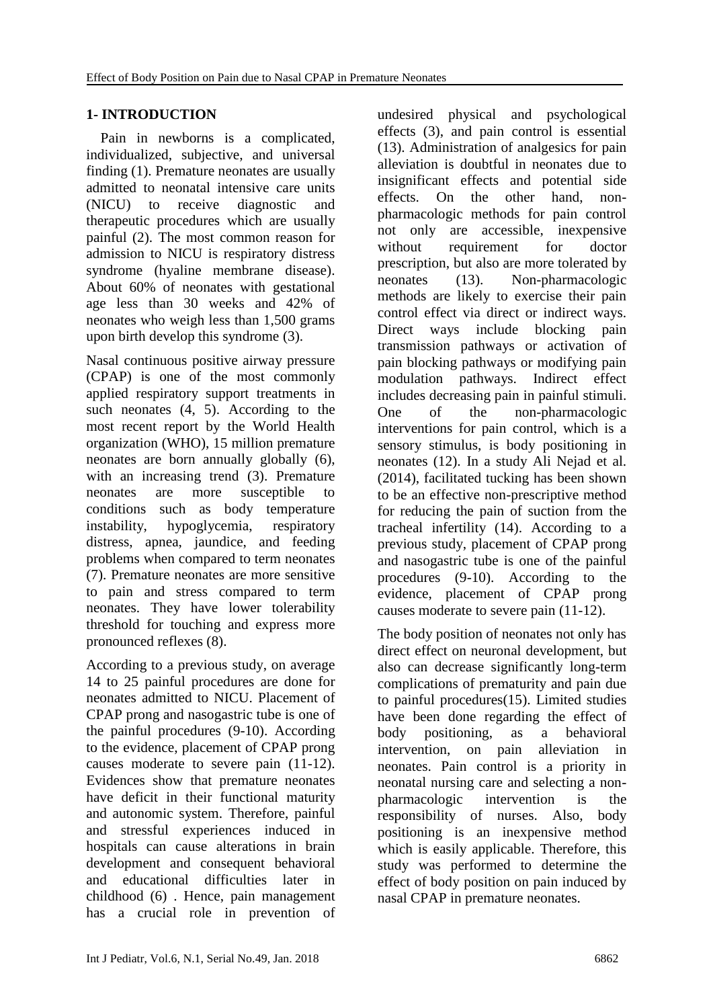# **1- INTRODUCTION**

 Pain in newborns is a complicated, individualized, subjective, and universal finding (1). Premature neonates are usually admitted to neonatal intensive care units (NICU) to receive diagnostic and therapeutic procedures which are usually painful (2). The most common reason for admission to NICU is respiratory distress syndrome (hyaline membrane disease). About 60% of neonates with gestational age less than 30 weeks and 42% of neonates who weigh less than 1,500 grams upon birth develop this syndrome (3).

Nasal continuous positive airway pressure (CPAP) is one of the most commonly applied respiratory support treatments in such neonates  $(4, 5)$ . According to the most recent report by the World Health organization (WHO), 15 million premature neonates are born annually globally (6), with an increasing trend (3). Premature neonates are more susceptible to conditions such as body temperature instability, hypoglycemia, respiratory distress, apnea, jaundice, and feeding problems when compared to term neonates [\(7\)](#page-9-0). Premature neonates are more sensitive to pain and stress compared to term neonates. They have lower tolerability threshold for touching and express more pronounced reflexes [\(8\)](#page-9-1).

According to a previous study, on average 14 to 25 painful procedures are done for neonates admitted to NICU. Placement of CPAP prong and nasogastric tube is one of the painful procedures [\(9-10\)](#page-9-2). According to the evidence, placement of CPAP prong causes moderate to severe pain [\(11-12\)](#page-9-3). Evidences show that premature neonates have deficit in their functional maturity and autonomic system. Therefore, painful and stressful experiences induced in hospitals can cause alterations in brain development and consequent behavioral and educational difficulties later in childhood (6) . Hence, pain management has a crucial role in prevention of

undesired physical and psychological effects (3), and pain control is essential [\(13\)](#page-9-4). Administration of analgesics for pain alleviation is doubtful in neonates due to insignificant effects and potential side effects. On the other hand, nonpharmacologic methods for pain control not only are accessible, inexpensive without requirement for doctor prescription, but also are more tolerated by neonates [\(13\)](#page-9-4). Non-pharmacologic methods are likely to exercise their pain control effect via direct or indirect ways. Direct ways include blocking pain transmission pathways or activation of pain blocking pathways or modifying pain modulation pathways. Indirect effect includes decreasing pain in painful stimuli. One of the non-pharmacologic interventions for pain control, which is a sensory stimulus, is body positioning in neonates [\(12\)](#page-9-5). In a study Ali Nejad et al. (2014), facilitated tucking has been shown to be an effective non-prescriptive method for reducing the pain of suction from the tracheal infertility (14). According to a previous study, placement of CPAP prong and nasogastric tube is one of the painful procedures [\(9-10\)](#page-9-2). According to the evidence, placement of CPAP prong causes moderate to severe pain [\(11-12\)](#page-9-3).

The body position of neonates not only has direct effect on neuronal development, but also can decrease significantly long-term complications of prematurity and pain due to painful procedures(15). Limited studies have been done regarding the effect of body positioning, as a behavioral intervention, on pain alleviation in neonates. Pain control is a priority in neonatal nursing care and selecting a nonpharmacologic intervention is the responsibility of nurses. Also, body positioning is an inexpensive method which is easily applicable. Therefore, this study was performed to determine the effect of body position on pain induced by nasal CPAP in premature neonates.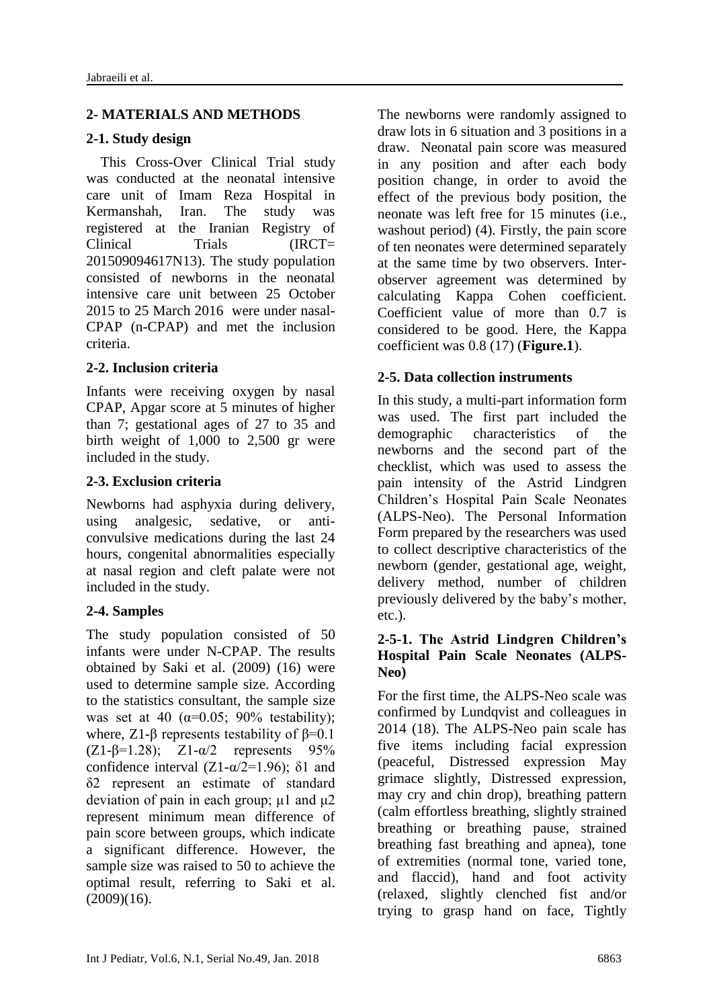## **2- MATERIALS AND METHODS**

## **2-1. Study design**

 This Cross-Over Clinical Trial study was conducted at the neonatal intensive care unit of Imam Reza Hospital in Kermanshah, Iran. The study was registered at the Iranian Registry of Clinical Trials (IRCT= 201509094617N13). The study population consisted of newborns in the neonatal intensive care unit between 25 October 2015 to 25 March 2016 were under nasal-CPAP (n-CPAP) and met the inclusion criteria.

# **2-2. Inclusion criteria**

Infants were receiving oxygen by nasal CPAP, Apgar score at 5 minutes of higher than 7; gestational ages of 27 to 35 and birth weight of 1,000 to 2,500 gr were included in the study.

## **2-3. Exclusion criteria**

Newborns had asphyxia during delivery, using analgesic, sedative, or anticonvulsive medications during the last 24 hours, congenital abnormalities especially at nasal region and cleft palate were not included in the study.

# **2-4. Samples**

The study population consisted of 50 infants were under N-CPAP. The results obtained by Saki et al. (2009) (16) were used to determine sample size. According to the statistics consultant, the sample size was set at 40  $(\alpha=0.05; 90\%$  testability); where,  $Z1-\beta$  represents testability of  $\beta=0.1$ (Z1- $\beta$ =1.28); Z1- $\alpha$ /2 represents 95% confidence interval  $(Z1-α/2=1.96)$ ; δ1 and δ2 represent an estimate of standard deviation of pain in each group; μ1 and μ2 represent minimum mean difference of pain score between groups, which indicate a significant difference. However, the sample size was raised to 50 to achieve the optimal result, referring to Saki et al.  $(2009)(16)$ .

The newborns were randomly assigned to draw lots in 6 situation and 3 positions in a draw. Neonatal pain score was measured in any position and after each body position change, in order to avoid the effect of the previous body position, the neonate was left free for 15 minutes (i.e., washout period) (4). Firstly, the pain score of ten neonates were determined separately at the same time by two observers. Interobserver agreement was determined by calculating Kappa Cohen coefficient. Coefficient value of more than 0.7 is considered to be good. Here, the Kappa coefficient was 0.8 (17) (**Figure.1**).

# **2-5. Data collection instruments**

In this study, a multi-part information form was used. The first part included the demographic characteristics of the newborns and the second part of the checklist, which was used to assess the pain intensity of the Astrid Lindgren Children's Hospital Pain Scale Neonates (ALPS-Neo). The Personal Information Form prepared by the researchers was used to collect descriptive characteristics of the newborn (gender, gestational age, weight, delivery method, number of children previously delivered by the baby's mother, etc.).

## **2-5-1. The Astrid Lindgren Children's Hospital Pain Scale Neonates (ALPS-Neo)**

For the first time, the ALPS-Neo scale was confirmed by Lundqvist and colleagues in 2014 (18). The ALPS-Neo pain scale has five items including facial expression (peaceful, Distressed expression May grimace slightly, Distressed expression, may cry and chin drop), breathing pattern (calm effortless breathing, slightly strained breathing or breathing pause, strained breathing fast breathing and apnea), tone of extremities (normal tone, varied tone, and flaccid), hand and foot activity (relaxed, slightly clenched fist and/or trying to grasp hand on face, Tightly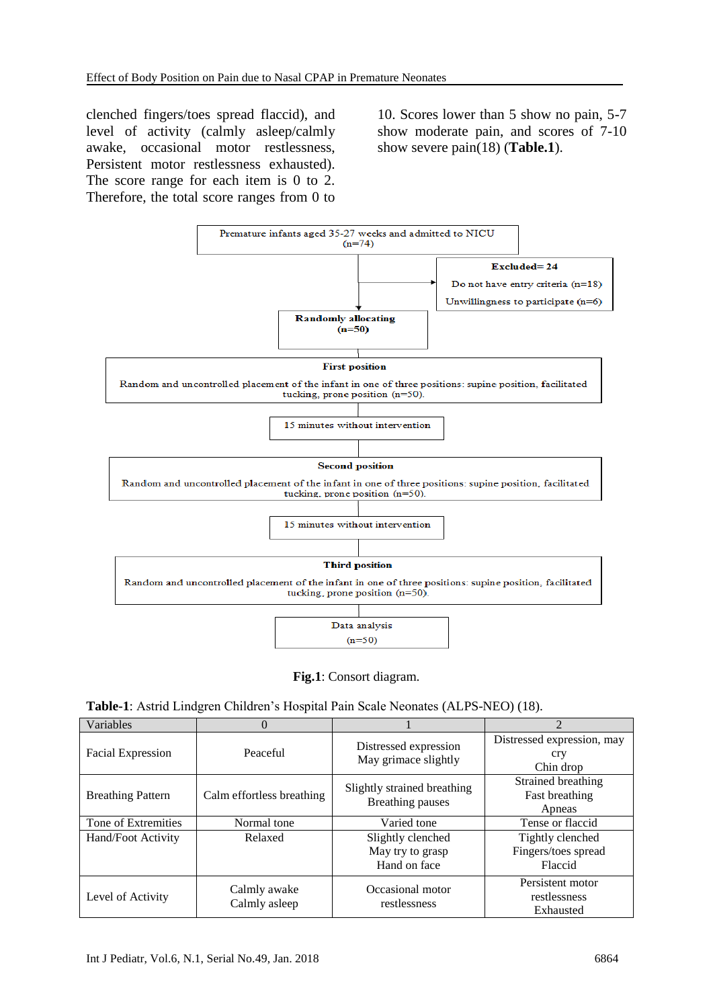clenched fingers/toes spread flaccid), and level of activity (calmly asleep/calmly awake, occasional motor restlessness, Persistent motor restlessness exhausted). The score range for each item is 0 to 2. Therefore, the total score ranges from 0 to

10. Scores lower than 5 show no pain, 5-7 show moderate pain, and scores of 7-10 show severe pain[\(18\)](#page-10-0) (**Table.1**).



**Fig.1**: Consort diagram.

|  |  |  |  | Table-1: Astrid Lindgren Children's Hospital Pain Scale Neonates (ALPS-NEO) (18). |
|--|--|--|--|-----------------------------------------------------------------------------------|
|--|--|--|--|-----------------------------------------------------------------------------------|

| Variables                |                               |                                                       | $\mathfrak{D}$                                     |
|--------------------------|-------------------------------|-------------------------------------------------------|----------------------------------------------------|
| <b>Facial Expression</b> | Peaceful                      | Distressed expression<br>May grimace slightly         | Distressed expression, may<br>cry<br>Chin drop     |
| <b>Breathing Pattern</b> | Calm effortless breathing     | Slightly strained breathing<br>Breathing pauses       | Strained breathing<br>Fast breathing<br>Apneas     |
| Tone of Extremities      | Normal tone                   | Varied tone                                           | Tense or flaccid                                   |
| Hand/Foot Activity       | Relaxed                       | Slightly clenched<br>May try to grasp<br>Hand on face | Tightly clenched<br>Fingers/toes spread<br>Flaccid |
| Level of Activity        | Calmly awake<br>Calmly asleep | Occasional motor<br>restlessness                      | Persistent motor<br>restlessness<br>Exhausted      |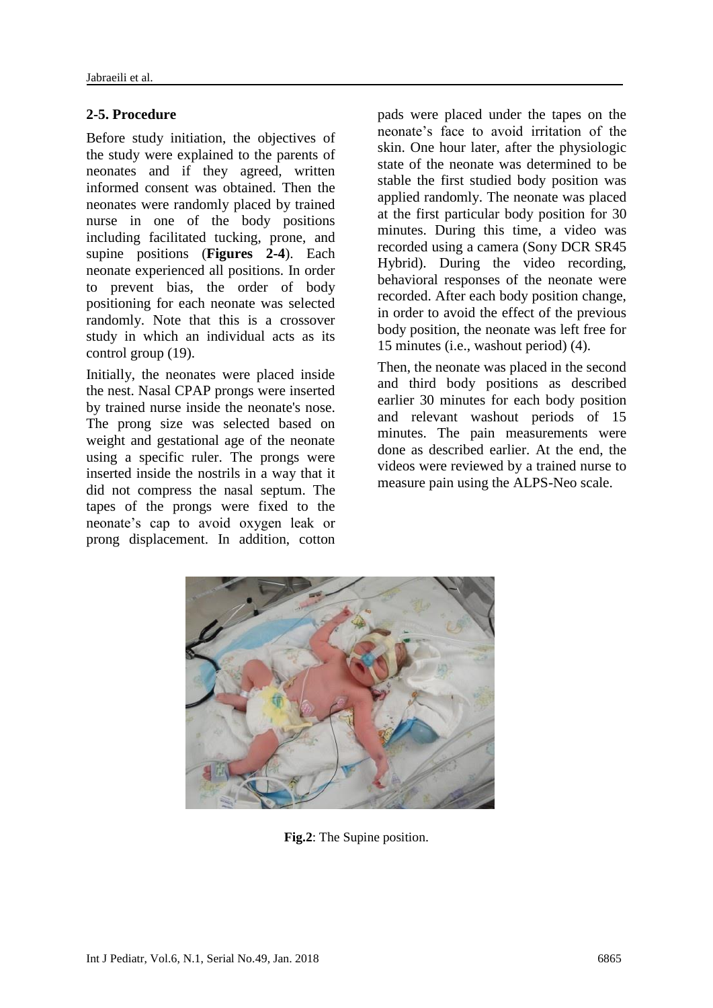# **2-5. Procedure**

Before study initiation, the objectives of the study were explained to the parents of neonates and if they agreed, written informed consent was obtained. Then the neonates were randomly placed by trained nurse in one of the body positions including facilitated tucking, prone, and supine positions (**Figures 2-4**). Each neonate experienced all positions. In order to prevent bias, the order of body positioning for each neonate was selected randomly. Note that this is a crossover study in which an individual acts as its control group (19).

Initially, the neonates were placed inside the nest. Nasal CPAP prongs were inserted by trained nurse inside the neonate's nose. The prong size was selected based on weight and gestational age of the neonate using a specific ruler. The prongs were inserted inside the nostrils in a way that it did not compress the nasal septum. The tapes of the prongs were fixed to the neonate's cap to avoid oxygen leak or prong displacement. In addition, cotton pads were placed under the tapes on the neonate's face to avoid irritation of the skin. One hour later, after the physiologic state of the neonate was determined to be stable the first studied body position was applied randomly. The neonate was placed at the first particular body position for 30 minutes. During this time, a video was recorded using a camera (Sony DCR SR45 Hybrid). During the video recording, behavioral responses of the neonate were recorded. After each body position change, in order to avoid the effect of the previous body position, the neonate was left free for 15 minutes (i.e., washout period) (4).

Then, the neonate was placed in the second and third body positions as described earlier 30 minutes for each body position and relevant washout periods of 15 minutes. The pain measurements were done as described earlier. At the end, the videos were reviewed by a trained nurse to measure pain using the ALPS-Neo scale.



**Fig.2**: The Supine position.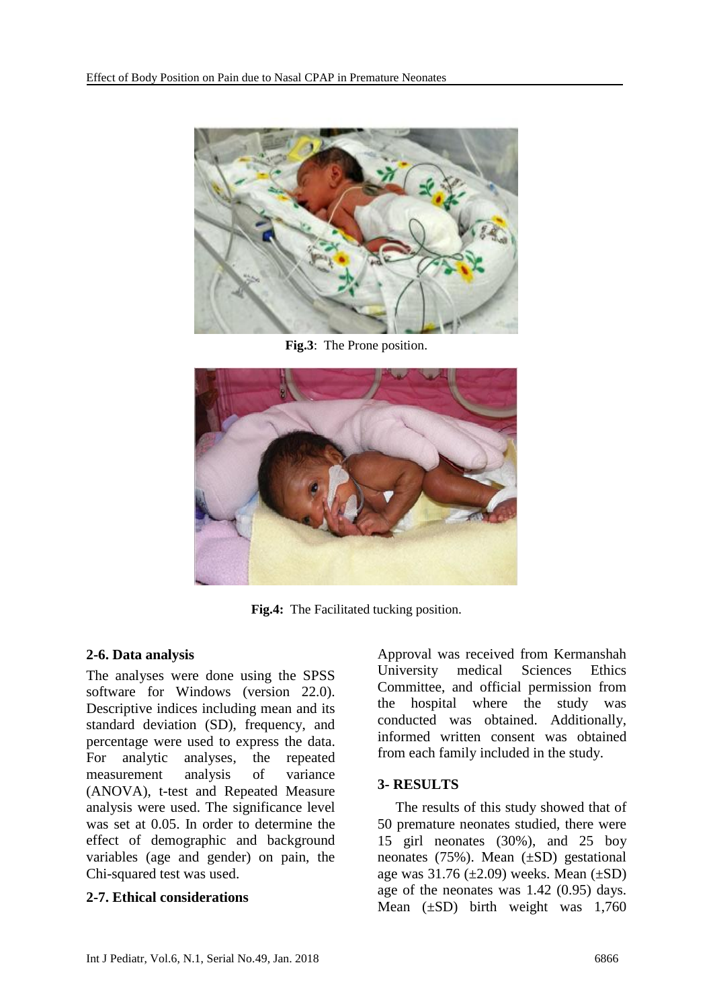

**Fig.3**: The Prone position.



**Fig.4:** The Facilitated tucking position.

# **2-6. Data analysis**

The analyses were done using the SPSS software for Windows (version 22.0). Descriptive indices including mean and its standard deviation (SD), frequency, and percentage were used to express the data. For analytic analyses, the repeated measurement analysis of variance (ANOVA), t-test and Repeated Measure analysis were used. The significance level was set at 0.05. In order to determine the effect of demographic and background variables (age and gender) on pain, the Chi-squared test was used.

#### **2-7. Ethical considerations**

Approval was received from Kermanshah University medical Sciences Ethics Committee, and official permission from the hospital where the study was conducted was obtained. Additionally, informed written consent was obtained from each family included in the study.

#### **3- RESULTS**

 The results of this study showed that of 50 premature neonates studied, there were 15 girl neonates (30%), and 25 boy neonates  $(75\%)$ . Mean  $(\pm SD)$  gestational age was  $31.76 \ (\pm 2.09)$  weeks. Mean  $(\pm SD)$ age of the neonates was 1.42 (0.95) days. Mean  $(\pm SD)$  birth weight was 1,760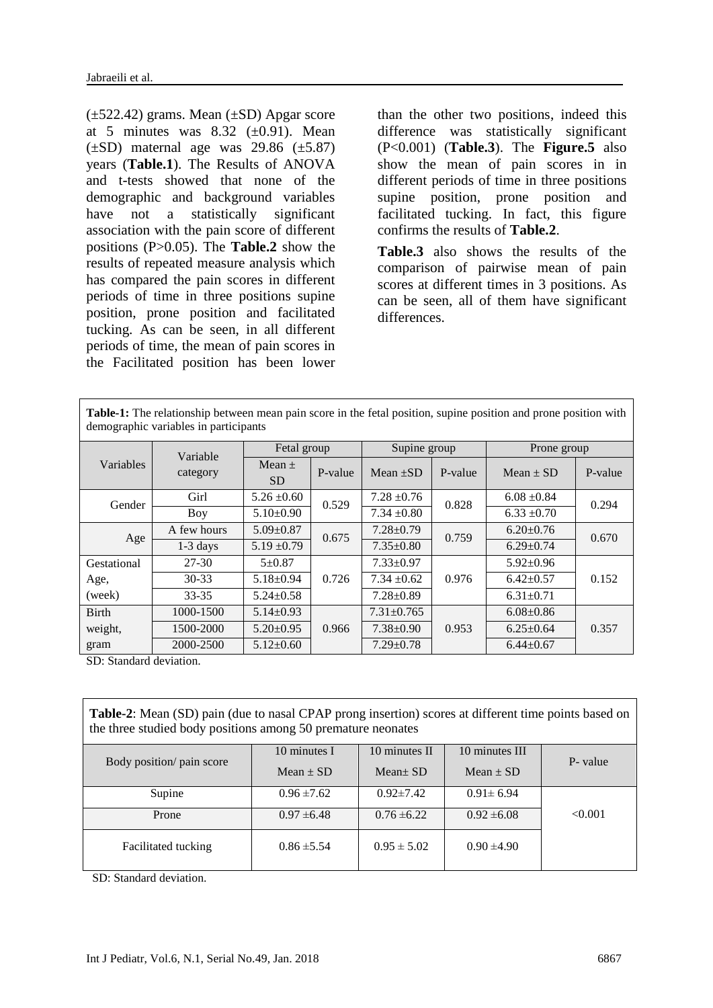(±522.42) grams. Mean (±SD) Apgar score at 5 minutes was  $8.32$  ( $\pm 0.91$ ). Mean  $(\pm SD)$  maternal age was 29.86  $(\pm 5.87)$ years (**Table.1**). The Results of ANOVA and t-tests showed that none of the demographic and background variables have not a statistically significant association with the pain score of different positions (P>0.05). The **Table.2** show the results of repeated measure analysis which has compared the pain scores in different periods of time in three positions supine position, prone position and facilitated tucking. As can be seen, in all different periods of time, the mean of pain scores in the Facilitated position has been lower than the other two positions, indeed this difference was statistically significant (P<0.001) (**Table.3**). The **Figure.5** also show the mean of pain scores in in different periods of time in three positions supine position, prone position and facilitated tucking. In fact, this figure confirms the results of **Table.2**.

**Table.3** also shows the results of the comparison of pairwise mean of pain scores at different times in 3 positions. As can be seen, all of them have significant differences.

| Table-1: The relationship between mean pain score in the fetal position, supine position and prone position with |  |
|------------------------------------------------------------------------------------------------------------------|--|
| demographic variables in participants                                                                            |  |

|              | Variable    | Fetal group             |         | Supine group    |         | Prone group     |         |
|--------------|-------------|-------------------------|---------|-----------------|---------|-----------------|---------|
| Variables    | category    | Mean $\pm$<br><b>SD</b> | P-value | Mean $\pm SD$   | P-value | $Mean \pm SD$   | P-value |
| Gender       | Girl        | $5.26 \pm 0.60$         | 0.529   | $7.28 \pm 0.76$ | 0.828   | $6.08 \pm 0.84$ | 0.294   |
|              | Boy         | $5.10\pm0.90$           |         | $7.34 \pm 0.80$ |         | $6.33 \pm 0.70$ |         |
|              | A few hours | $5.09 \pm 0.87$         | 0.675   | $7.28 \pm 0.79$ | 0.759   | $6.20 \pm 0.76$ | 0.670   |
| Age          | $1-3$ days  | $5.19 \pm 0.79$         |         | $7.35 \pm 0.80$ |         | $6.29 \pm 0.74$ |         |
| Gestational  | 27-30       | $5+0.87$                |         | $7.33 \pm 0.97$ |         | $5.92 \pm 0.96$ |         |
| Age,         | $30 - 33$   | $5.18 \pm 0.94$         | 0.726   | $7.34 \pm 0.62$ | 0.976   | $6.42+0.57$     | 0.152   |
| (week)       | 33-35       | $5.24 \pm 0.58$         |         | $7.28 \pm 0.89$ |         | $6.31 \pm 0.71$ |         |
| <b>Birth</b> | 1000-1500   | $5.14 \pm 0.93$         |         | $7.31 + 0.765$  |         | $6.08 \pm 0.86$ |         |
| weight,      | 1500-2000   | $5.20 \pm 0.95$         | 0.966   | $7.38 \pm 0.90$ | 0.953   | $6.25+0.64$     | 0.357   |
| gram         | 2000-2500   | $5.12 \pm 0.60$         |         | $7.29 \pm 0.78$ |         | $6.44 \pm 0.67$ |         |

SD: Standard deviation.

| <b>Table-2:</b> Mean (SD) pain (due to nasal CPAP prong insertion) scores at different time points based on<br>the three studied body positions among 50 premature neonates |                 |                                 |                 |          |  |
|-----------------------------------------------------------------------------------------------------------------------------------------------------------------------------|-----------------|---------------------------------|-----------------|----------|--|
|                                                                                                                                                                             | 10 minutes I    | 10 minutes II<br>10 minutes III |                 |          |  |
| Body position/ pain score                                                                                                                                                   | Mean $\pm$ SD   | $Mean \pm SD$                   | Mean $\pm$ SD   | P- value |  |
| Supine                                                                                                                                                                      | $0.96 \pm 7.62$ | $0.92 \pm 7.42$                 | $0.91 \pm 6.94$ |          |  |
| Prone                                                                                                                                                                       | $0.97 \pm 6.48$ | $0.76 \pm 6.22$                 | $0.92 \pm 6.08$ | < 0.001  |  |
| Facilitated tucking                                                                                                                                                         | $0.86 \pm 5.54$ | $0.95 \pm 5.02$                 | $0.90 \pm 4.90$ |          |  |

SD: Standard deviation.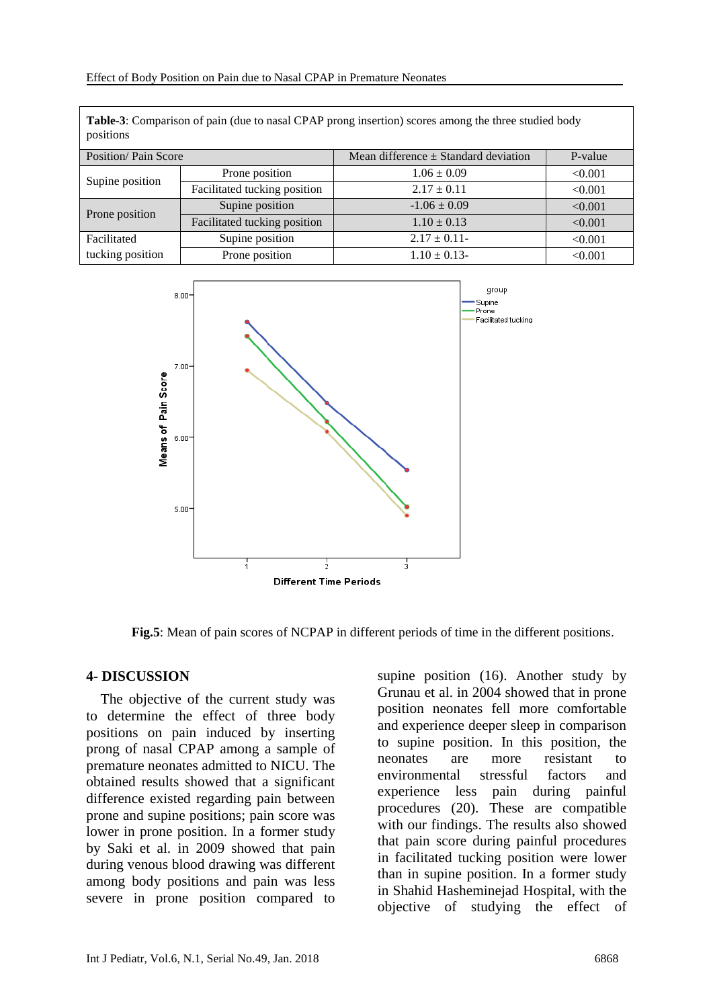| <b>Table-3</b> : Comparison of pain (due to nasal CPAP prong insertion) scores among the three studied body<br>positions |                              |                                          |         |  |
|--------------------------------------------------------------------------------------------------------------------------|------------------------------|------------------------------------------|---------|--|
| <b>Position/Pain Score</b>                                                                                               |                              | Mean difference $\pm$ Standard deviation | P-value |  |
| Supine position                                                                                                          | Prone position               | $1.06 \pm 0.09$                          | < 0.001 |  |
|                                                                                                                          | Facilitated tucking position | $2.17 \pm 0.11$                          | < 0.001 |  |
| Prone position                                                                                                           | Supine position              | $-1.06 \pm 0.09$                         | < 0.001 |  |
|                                                                                                                          | Facilitated tucking position | $1.10 \pm 0.13$                          | < 0.001 |  |
| Facilitated                                                                                                              | Supine position              | $2.17 \pm 0.11$                          | < 0.001 |  |
| tucking position                                                                                                         | Prone position               | $1.10 \pm 0.13$                          | < 0.001 |  |



**Fig.5**: Mean of pain scores of NCPAP in different periods of time in the different positions.

#### **4- DISCUSSION**

 The objective of the current study was to determine the effect of three body positions on pain induced by inserting prong of nasal CPAP among a sample of premature neonates admitted to NICU. The obtained results showed that a significant difference existed regarding pain between prone and supine positions; pain score was lower in prone position. In a former study by Saki et al. in 2009 showed that pain during venous blood drawing was different among body positions and pain was less severe in prone position compared to

supine position (16). Another study by Grunau et al. in 2004 showed that in prone position neonates fell more comfortable and experience deeper sleep in comparison to supine position. In this position, the neonates are more resistant to environmental stressful factors and experience less pain during painful procedures (20). These are compatible with our findings. The results also showed that pain score during painful procedures in facilitated tucking position were lower than in supine position. In a former study in Shahid Hasheminejad Hospital, with the objective of studying the effect of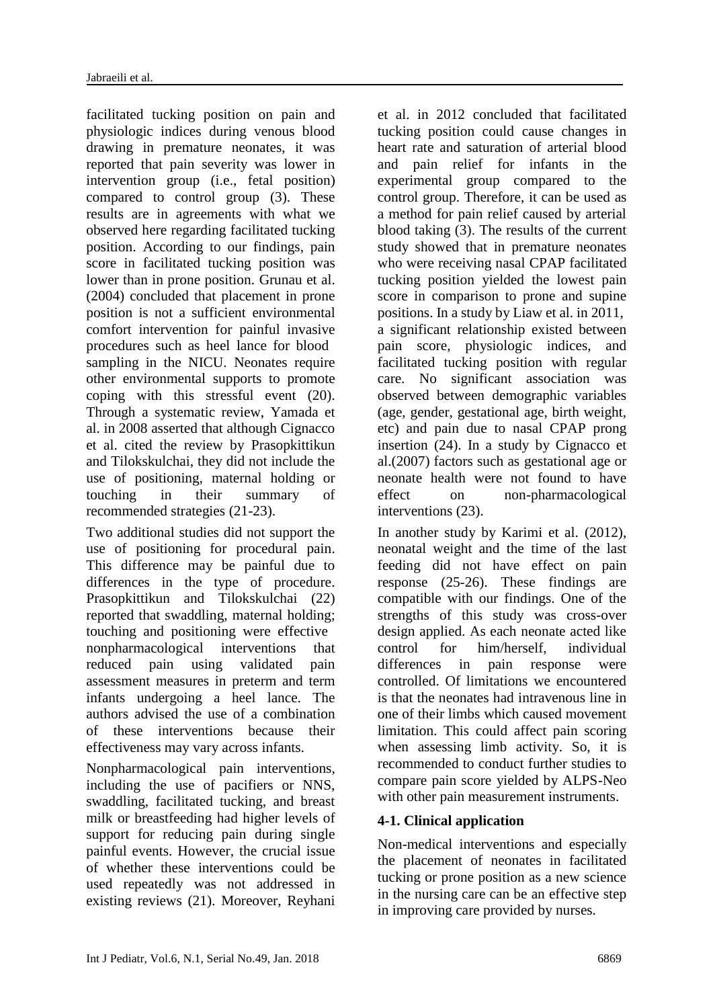facilitated tucking position on pain and physiologic indices during venous blood drawing in premature neonates, it was reported that pain severity was lower in intervention group (i.e., fetal position) compared to control group (3). These results are in agreements with what we observed here regarding facilitated tucking position. According to our findings, pain score in facilitated tucking position was lower than in prone position. Grunau et al. (2004) concluded that placement in prone position is not a sufficient environmental comfort intervention for painful invasive procedures such as heel lance for blood sampling in the NICU. Neonates require other environmental supports to promote coping with this stressful event (20). Through a systematic review, Yamada et al. in 2008 asserted that although Cignacco et al. cited the review by Prasopkittikun and Tilokskulchai, they did not include the use of positioning, maternal holding or touching in their summary of recommended strategies (21-23).

Two additional studies did not support the use of positioning for procedural pain. This difference may be painful due to differences in the type of procedure. Prasopkittikun and Tilokskulchai (22) reported that swaddling, maternal holding; touching and positioning were effective nonpharmacological interventions that reduced pain using validated pain assessment measures in preterm and term infants undergoing a heel lance. The authors advised the use of a combination of these interventions because their effectiveness may vary across infants.

Nonpharmacological pain interventions, including the use of pacifiers or NNS, swaddling, facilitated tucking, and breast milk or breastfeeding had higher levels of support for reducing pain during single painful events. However, the crucial issue of whether these interventions could be used repeatedly was not addressed in existing reviews (21). Moreover, Reyhani

et al. in 2012 concluded that facilitated tucking position could cause changes in heart rate and saturation of arterial blood and pain relief for infants in the experimental group compared to the control group. Therefore, it can be used as a method for pain relief caused by arterial blood taking (3). The results of the current study showed that in premature neonates who were receiving nasal CPAP facilitated tucking position yielded the lowest pain score in comparison to prone and supine positions. In a study by Liaw et al. in 2011, a significant relationship existed between pain score, physiologic indices, and facilitated tucking position with regular care. No significant association was observed between demographic variables (age, gender, gestational age, birth weight, etc) and pain due to nasal CPAP prong insertion (24). In a study by Cignacco et al.(2007) factors such as gestational age or neonate health were not found to have effect on non-pharmacological interventions (23).

In another study by Karimi et al. (2012), neonatal weight and the time of the last feeding did not have effect on pain response (25-26). These findings are compatible with our findings. One of the strengths of this study was cross-over design applied. As each neonate acted like control for him/herself, individual differences in pain response were controlled. Of limitations we encountered is that the neonates had intravenous line in one of their limbs which caused movement limitation. This could affect pain scoring when assessing limb activity. So, it is recommended to conduct further studies to compare pain score yielded by ALPS-Neo with other pain measurement instruments.

# **4-1. Clinical application**

Non-medical interventions and especially the placement of neonates in facilitated tucking or prone position as a new science in the nursing care can be an effective step in improving care provided by nurses.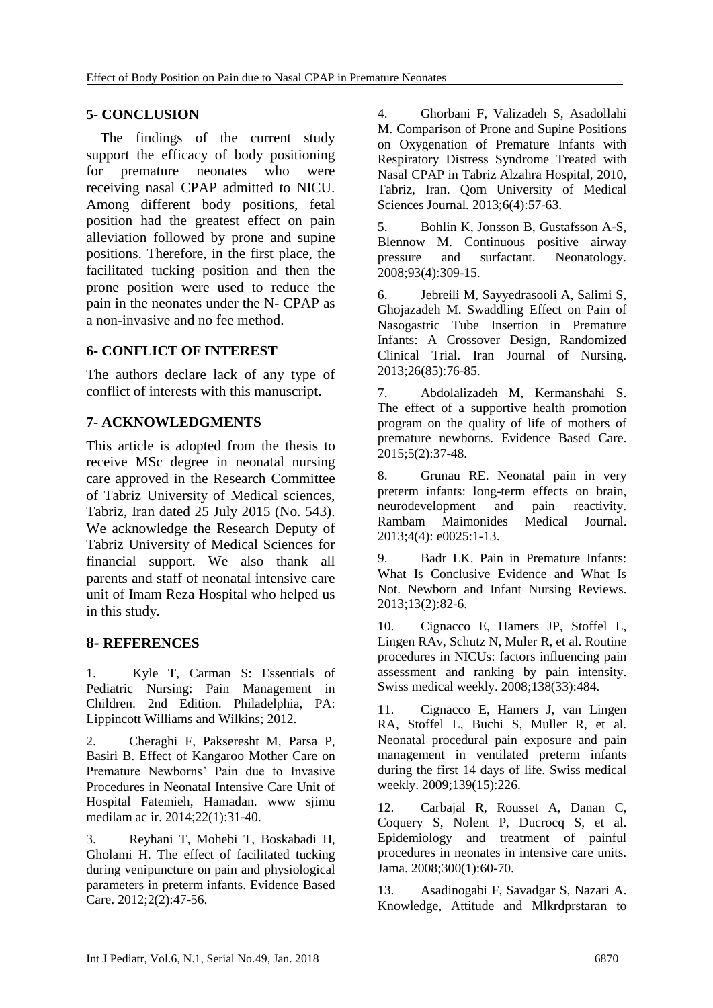## **5- CONCLUSION**

 The findings of the current study support the efficacy of body positioning for premature neonates who were receiving nasal CPAP admitted to NICU. Among different body positions, fetal position had the greatest effect on pain alleviation followed by prone and supine positions. Therefore, in the first place, the facilitated tucking position and then the prone position were used to reduce the pain in the neonates under the N- CPAP as a non-invasive and no fee method.

## **6- CONFLICT OF INTEREST**

The authors declare lack of any type of conflict of interests with this manuscript.

# **7- ACKNOWLEDGMENTS**

This article is adopted from the thesis to receive MSc degree in neonatal nursing care approved in the Research Committee of Tabriz University of Medical sciences, Tabriz, Iran dated 25 July 2015 (No. 543). We acknowledge the Research Deputy of Tabriz University of Medical Sciences for financial support. We also thank all parents and staff of neonatal intensive care unit of Imam Reza Hospital who helped us in this study.

## **8- REFERENCES**

1. Kyle T, Carman S: Essentials of Pediatric Nursing: Pain Management in Children. 2nd Edition. Philadelphia, PA: Lippincott Williams and Wilkins; 2012.

2. Cheraghi F, Pakseresht M, Parsa P, Basiri B. Effect of Kangaroo Mother Care on Premature Newborns' Pain due to Invasive Procedures in Neonatal Intensive Care Unit of Hospital Fatemieh, Hamadan. www sjimu medilam ac ir. 2014;22(1):31-40.

3. Reyhani T, Mohebi T, Boskabadi H, Gholami H. The effect of facilitated tucking during venipuncture on pain and physiological parameters in preterm infants. Evidence Based Care. 2012;2(2):47-56.

4. Ghorbani F, Valizadeh S, Asadollahi M. Comparison of Prone and Supine Positions on Oxygenation of Premature Infants with Respiratory Distress Syndrome Treated with Nasal CPAP in Tabriz Alzahra Hospital, 2010, Tabriz, Iran. [Qom University of Medical](http://www.sid.ir/En/Journal/JournalList.aspx?ID=9532)  [Sciences Journal.](http://www.sid.ir/En/Journal/JournalList.aspx?ID=9532) 2013;6(4):57-63.

5. Bohlin K, Jonsson B, Gustafsson A-S, Blennow M. Continuous positive airway pressure and surfactant. Neonatology. 2008;93(4):309-15.

6. Jebreili M, Sayyedrasooli A, Salimi S, Ghojazadeh M. Swaddling Effect on Pain of Nasogastric Tube Insertion in Premature Infants: A Crossover Design, Randomized Clinical Trial. Iran Journal of Nursing. 2013;26(85):76-85.

<span id="page-9-0"></span>7. Abdolalizadeh M, Kermanshahi S. The effect of a supportive health promotion program on the quality of life of mothers of premature newborns. Evidence Based Care. 2015;5(2):37-48.

<span id="page-9-1"></span>8. Grunau RE. Neonatal pain in very preterm infants: long-term effects on brain, neurodevelopment and pain reactivity. Rambam Maimonides Medical Journal. 2013;4(4): e0025:1-13.

<span id="page-9-2"></span>9. Badr LK. Pain in Premature Infants: What Is Conclusive Evidence and What Is Not. Newborn and Infant Nursing Reviews. 2013;13(2):82-6.

10. Cignacco E, Hamers JP, Stoffel L, Lingen RAv, Schutz N, Muler R, et al. Routine procedures in NICUs: factors influencing pain assessment and ranking by pain intensity. Swiss medical weekly. 2008;138(33):484.

<span id="page-9-3"></span>11. Cignacco E, Hamers J, van Lingen RA, Stoffel L, Buchi S, Muller R, et al. Neonatal procedural pain exposure and pain management in ventilated preterm infants during the first 14 days of life. Swiss medical weekly. 2009;139(15):226.

<span id="page-9-5"></span>12. Carbajal R, Rousset A, Danan C, Coquery S, Nolent P, Ducrocq S, et al. Epidemiology and treatment of painful procedures in neonates in intensive care units. Jama. 2008;300(1):60-70.

<span id="page-9-4"></span>13. Asadinogabi F, Savadgar S, Nazari A. Knowledge, Attitude and Mlkrdprstaran to